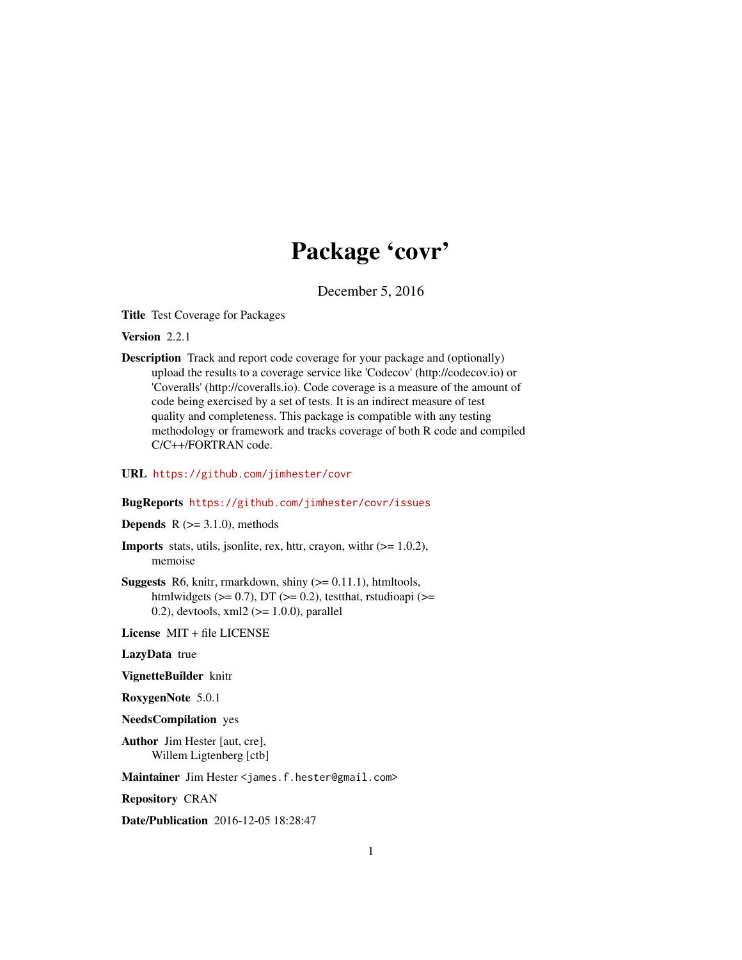# Package 'covr'

December 5, 2016

<span id="page-0-0"></span>Title Test Coverage for Packages

Version 2.2.1

Description Track and report code coverage for your package and (optionally) upload the results to a coverage service like 'Codecov' (http://codecov.io) or 'Coveralls' (http://coveralls.io). Code coverage is a measure of the amount of code being exercised by a set of tests. It is an indirect measure of test quality and completeness. This package is compatible with any testing methodology or framework and tracks coverage of both R code and compiled C/C++/FORTRAN code.

URL <https://github.com/jimhester/covr>

#### BugReports <https://github.com/jimhester/covr/issues>

**Depends** R  $(>= 3.1.0)$ , methods

- **Imports** stats, utils, jsonlite, rex, httr, crayon, with  $(>= 1.0.2)$ , memoise
- **Suggests** R6, knitr, rmarkdown, shiny  $(>= 0.11.1)$ , htmltools, htmlwidgets ( $>= 0.7$ ), DT ( $>= 0.2$ ), testthat, rstudioapi ( $>=$ 0.2), devtools,  $xml2$  ( $>= 1.0.0$ ), parallel

License MIT + file LICENSE

LazyData true

VignetteBuilder knitr

RoxygenNote 5.0.1

NeedsCompilation yes

Author Jim Hester [aut, cre], Willem Ligtenberg [ctb]

Maintainer Jim Hester <james.f.hester@gmail.com>

Repository CRAN

Date/Publication 2016-12-05 18:28:47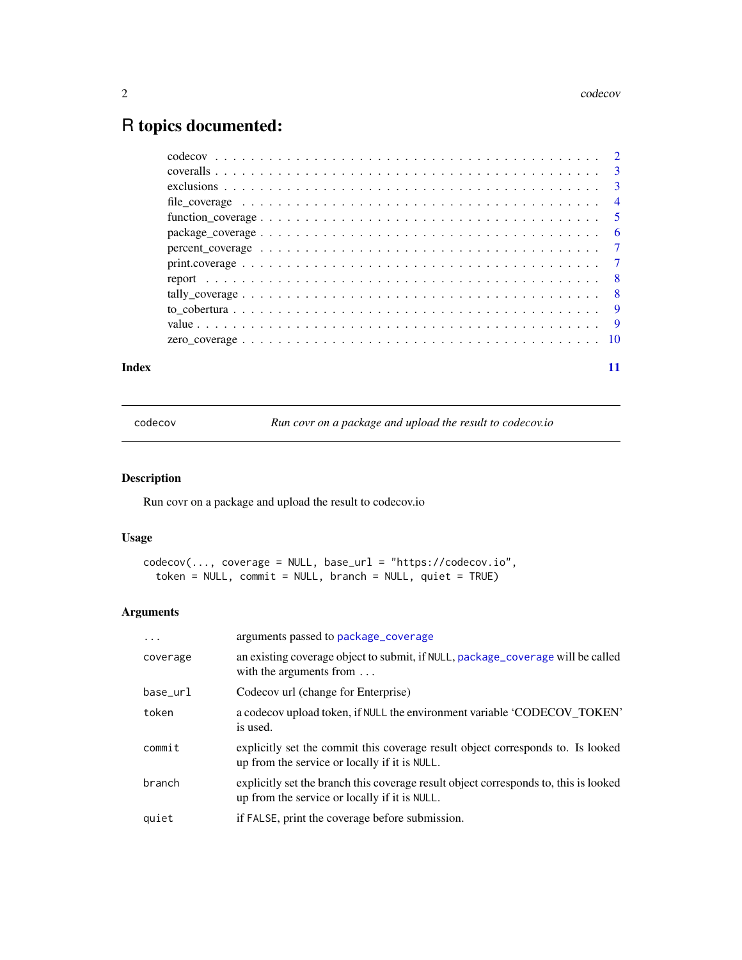# <span id="page-1-0"></span>R topics documented:

| Index |  |
|-------|--|

codecov *Run covr on a package and upload the result to codecov.io*

# Description

Run covr on a package and upload the result to codecov.io

# Usage

```
codecov(..., coverage = NULL, base_url = "https://codecov.io",
  token = NULL, commit = NULL, branch = NULL, quiet = TRUE)
```
# Arguments

| .        | arguments passed to package_coverage                                                                                                  |
|----------|---------------------------------------------------------------------------------------------------------------------------------------|
| coverage | an existing coverage object to submit, if NULL, package_coverage will be called<br>with the arguments from $\dots$                    |
| base_url | Codecov url (change for Enterprise)                                                                                                   |
| token    | a codecov upload token, if NULL the environment variable 'CODECOV_TOKEN'<br>is used.                                                  |
| commit   | explicitly set the commit this coverage result object corresponds to. Is looked<br>up from the service or locally if it is NULL.      |
| branch   | explicitly set the branch this coverage result object corresponds to, this is looked<br>up from the service or locally if it is NULL. |
| quiet    | if FALSE, print the coverage before submission.                                                                                       |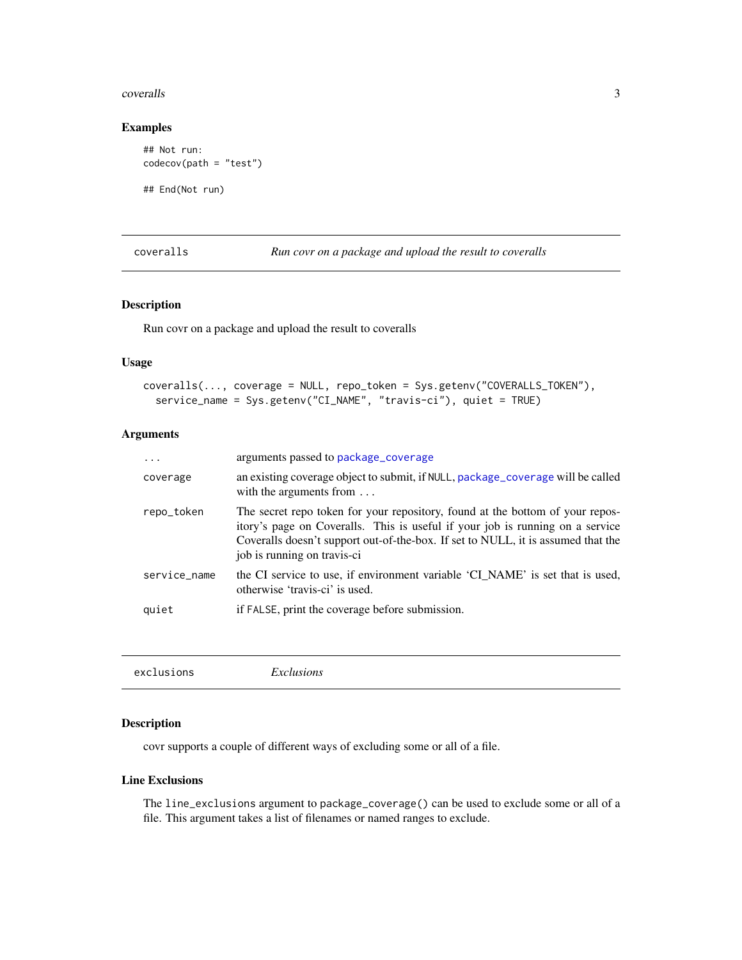#### <span id="page-2-0"></span>coveralls 3

### Examples

```
## Not run:
codecov(path = "test")
```
## End(Not run)

coveralls *Run covr on a package and upload the result to coveralls*

#### Description

Run covr on a package and upload the result to coveralls

### Usage

```
coveralls(..., coverage = NULL, repo_token = Sys.getenv("COVERALLS_TOKEN"),
  service_name = Sys.getenv("CI_NAME", "travis-ci"), quiet = TRUE)
```
# Arguments

| .            | arguments passed to package_coverage                                                                                                                                                                                                                                              |
|--------------|-----------------------------------------------------------------------------------------------------------------------------------------------------------------------------------------------------------------------------------------------------------------------------------|
| coverage     | an existing coverage object to submit, if NULL, package_coverage will be called<br>with the arguments from $\dots$                                                                                                                                                                |
| repo_token   | The secret repo token for your repository, found at the bottom of your repos-<br>itory's page on Coveralls. This is useful if your job is running on a service<br>Coveralls doesn't support out-of-the-box. If set to NULL, it is assumed that the<br>job is running on travis-ci |
| service_name | the CI service to use, if environment variable 'CI_NAME' is set that is used,<br>otherwise 'travis-ci' is used.                                                                                                                                                                   |
| quiet        | if FALSE, print the coverage before submission.                                                                                                                                                                                                                                   |

<span id="page-2-1"></span>

| exclusions | <i>Exclusions</i> |  |
|------------|-------------------|--|
|------------|-------------------|--|

# Description

covr supports a couple of different ways of excluding some or all of a file.

#### Line Exclusions

The line\_exclusions argument to package\_coverage() can be used to exclude some or all of a file. This argument takes a list of filenames or named ranges to exclude.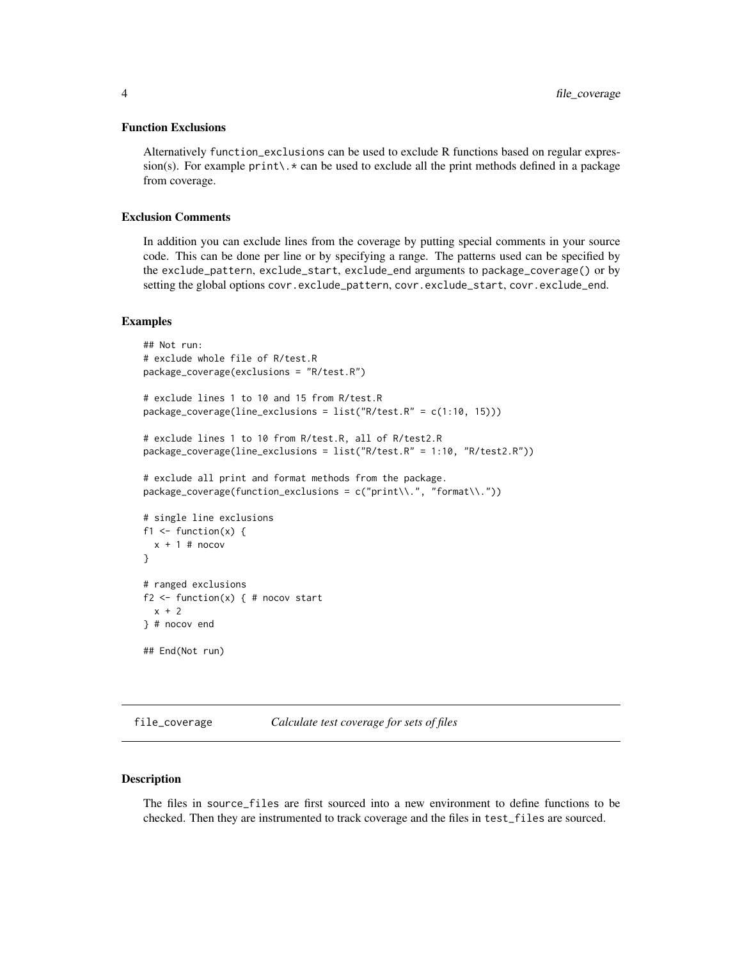#### <span id="page-3-0"></span>Function Exclusions

Alternatively function\_exclusions can be used to exclude R functions based on regular expression(s). For example  $print\lambda$  and be used to exclude all the print methods defined in a package from coverage.

#### Exclusion Comments

In addition you can exclude lines from the coverage by putting special comments in your source code. This can be done per line or by specifying a range. The patterns used can be specified by the exclude\_pattern, exclude\_start, exclude\_end arguments to package\_coverage() or by setting the global options covr.exclude\_pattern, covr.exclude\_start, covr.exclude\_end.

#### Examples

```
## Not run:
# exclude whole file of R/test.R
package_coverage(exclusions = "R/test.R")
# exclude lines 1 to 10 and 15 from R/test.R
package_coverage(line_exclusions = list("R/test.R" = c(1:10, 15)))
# exclude lines 1 to 10 from R/test.R, all of R/test2.R
package_coverage(line_exclusions = list("R/test.R" = 1:10, "R/test2.R"))
# exclude all print and format methods from the package.
package\_coverage(function\_exclusions = c("print\\.", "format\\."))# single line exclusions
f1 \le function(x) {
 x + 1 # nocov
}
# ranged exclusions
f2 \leq - function(x) { # nocov start
 x + 2} # nocov end
## End(Not run)
```
file\_coverage *Calculate test coverage for sets of files*

#### Description

The files in source\_files are first sourced into a new environment to define functions to be checked. Then they are instrumented to track coverage and the files in test\_files are sourced.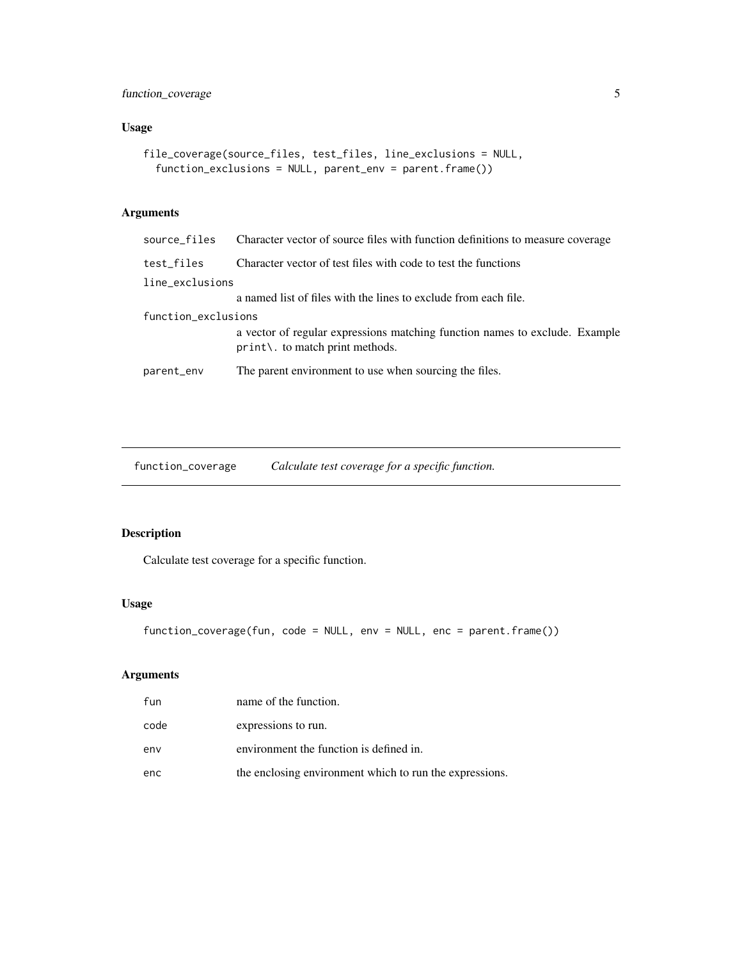<span id="page-4-0"></span>function\_coverage 5

# Usage

```
file_coverage(source_files, test_files, line_exclusions = NULL,
  function_exclusions = NULL, parent_env = parent.frame())
```
# Arguments

| source files        | Character vector of source files with function definitions to measure coverage                                             |  |  |
|---------------------|----------------------------------------------------------------------------------------------------------------------------|--|--|
| test_files          | Character vector of test files with code to test the functions                                                             |  |  |
| line_exclusions     |                                                                                                                            |  |  |
|                     | a named list of files with the lines to exclude from each file.                                                            |  |  |
| function_exclusions |                                                                                                                            |  |  |
|                     | a vector of regular expressions matching function names to exclude. Example<br>$print\backslash$ . to match print methods. |  |  |
| parent_env          | The parent environment to use when sourcing the files.                                                                     |  |  |

function\_coverage *Calculate test coverage for a specific function.*

# Description

Calculate test coverage for a specific function.

#### Usage

```
function_coverage(fun, code = NULL, env = NULL, enc = parent.frame())
```
# Arguments

| fun  | name of the function.                                   |
|------|---------------------------------------------------------|
| code | expressions to run.                                     |
| env  | environment the function is defined in.                 |
| enc  | the enclosing environment which to run the expressions. |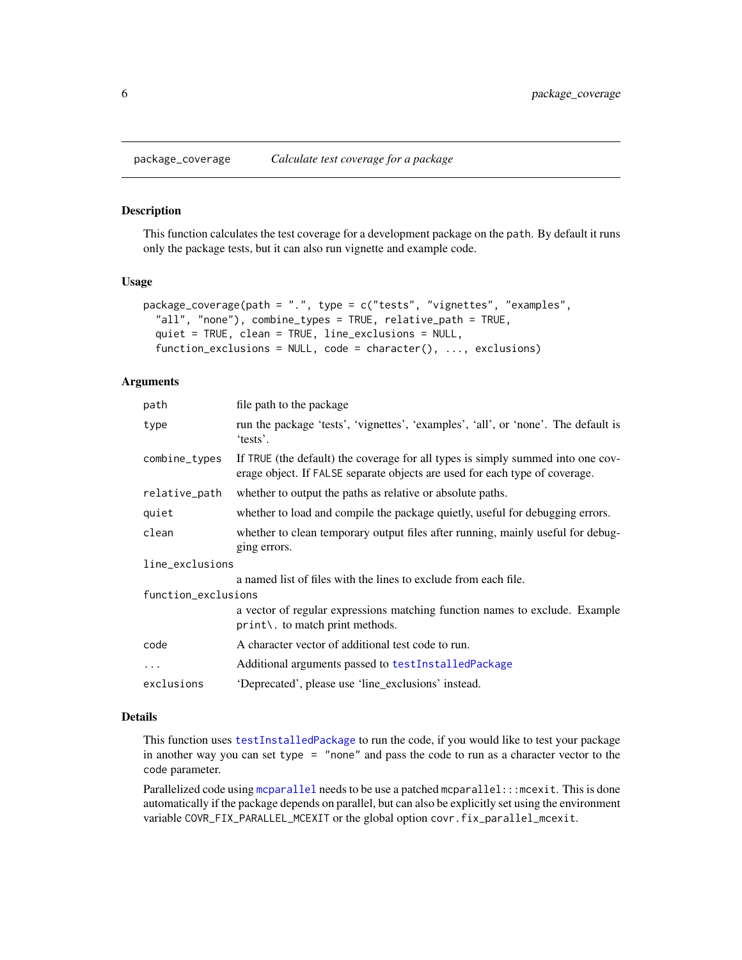<span id="page-5-1"></span><span id="page-5-0"></span>

#### Description

This function calculates the test coverage for a development package on the path. By default it runs only the package tests, but it can also run vignette and example code.

#### Usage

```
package_coverage(path = ".", type = c("tests", "vignettes", "examples",
  "all", "none"), combine_types = TRUE, relative_path = TRUE,
  quiet = TRUE, clean = TRUE, line_exclusions = NULL,
  function_exclusions = NULL, code = character(), ..., exclusions)
```
# Arguments

| path                | file path to the package                                                                                                                                       |  |
|---------------------|----------------------------------------------------------------------------------------------------------------------------------------------------------------|--|
| type                | run the package 'tests', 'vignettes', 'examples', 'all', or 'none'. The default is<br>'tests'.                                                                 |  |
| combine_types       | If TRUE (the default) the coverage for all types is simply summed into one cov-<br>erage object. If FALSE separate objects are used for each type of coverage. |  |
| relative_path       | whether to output the paths as relative or absolute paths.                                                                                                     |  |
| quiet               | whether to load and compile the package quietly, useful for debugging errors.                                                                                  |  |
| clean               | whether to clean temporary output files after running, mainly useful for debug-<br>ging errors.                                                                |  |
| line_exclusions     |                                                                                                                                                                |  |
|                     | a named list of files with the lines to exclude from each file.                                                                                                |  |
| function_exclusions |                                                                                                                                                                |  |
|                     | a vector of regular expressions matching function names to exclude. Example<br>print\. to match print methods.                                                 |  |
| code                | A character vector of additional test code to run.                                                                                                             |  |
| $\ddots$            | Additional arguments passed to testInstalledPackage                                                                                                            |  |
| exclusions          | 'Deprecated', please use 'line_exclusions' instead.                                                                                                            |  |

#### Details

This function uses [testInstalledPackage](#page-0-0) to run the code, if you would like to test your package in another way you can set type = "none" and pass the code to run as a character vector to the code parameter.

Parallelized code using [mcparallel](#page-0-0) needs to be use a patched mcparallel:::mcexit. This is done automatically if the package depends on parallel, but can also be explicitly set using the environment variable COVR\_FIX\_PARALLEL\_MCEXIT or the global option covr.fix\_parallel\_mcexit.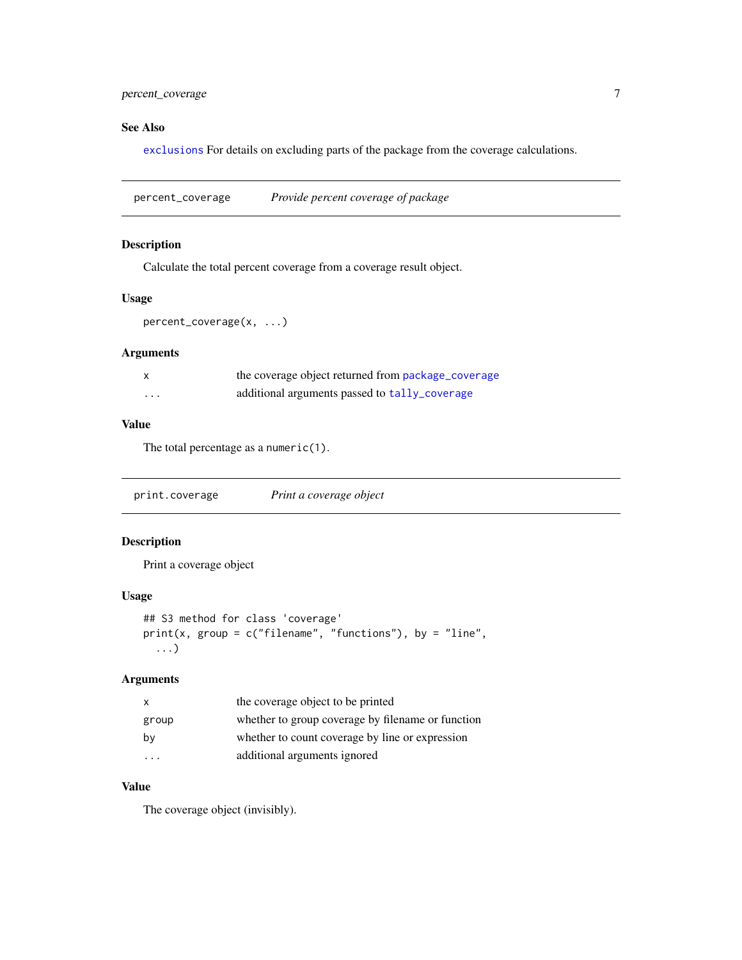# <span id="page-6-0"></span>percent\_coverage 7

# See Also

[exclusions](#page-2-1) For details on excluding parts of the package from the coverage calculations.

percent\_coverage *Provide percent coverage of package*

# Description

Calculate the total percent coverage from a coverage result object.

# Usage

percent\_coverage(x, ...)

# Arguments

|          | the coverage object returned from package_coverage |
|----------|----------------------------------------------------|
| $\cdots$ | additional arguments passed to tally_coverage      |

#### Value

The total percentage as a numeric(1).

print.coverage *Print a coverage object*

# Description

Print a coverage object

# Usage

```
## S3 method for class 'coverage'
print(x, group = c("filename", "functions"), by = "line",...)
```
# Arguments

| X       | the coverage object to be printed                 |
|---------|---------------------------------------------------|
| group   | whether to group coverage by filename or function |
| by      | whether to count coverage by line or expression   |
| $\cdot$ | additional arguments ignored                      |

# Value

The coverage object (invisibly).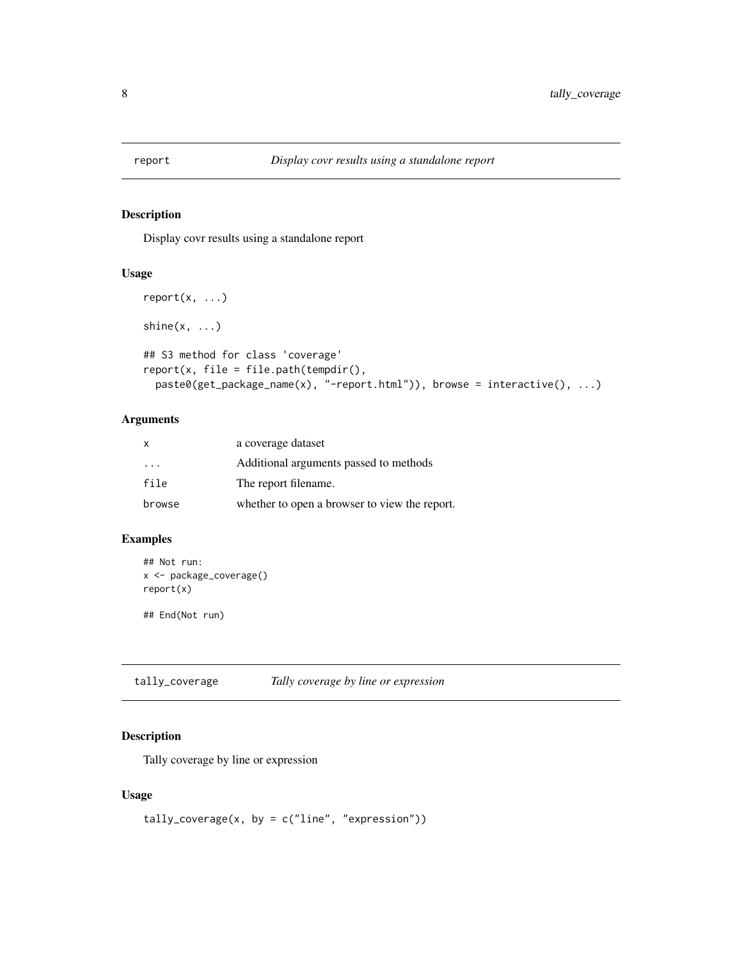<span id="page-7-0"></span>

#### Description

Display covr results using a standalone report

# Usage

```
report(x, \ldots)shine(x, \ldots)## S3 method for class 'coverage'
report(x, file = file.path(tempdir(),paste0(get_package_name(x), "-report.html")), browse = interactive(), ...)
```
# Arguments

| x                       | a coverage dataset                            |
|-------------------------|-----------------------------------------------|
| $\cdot$ $\cdot$ $\cdot$ | Additional arguments passed to methods        |
| file                    | The report filename.                          |
| browse                  | whether to open a browser to view the report. |

# Examples

```
## Not run:
x <- package_coverage()
report(x)
## End(Not run)
```
<span id="page-7-1"></span>tally\_coverage *Tally coverage by line or expression*

#### Description

Tally coverage by line or expression

# Usage

```
tally_coverage(x, by = c("line", "expression"))
```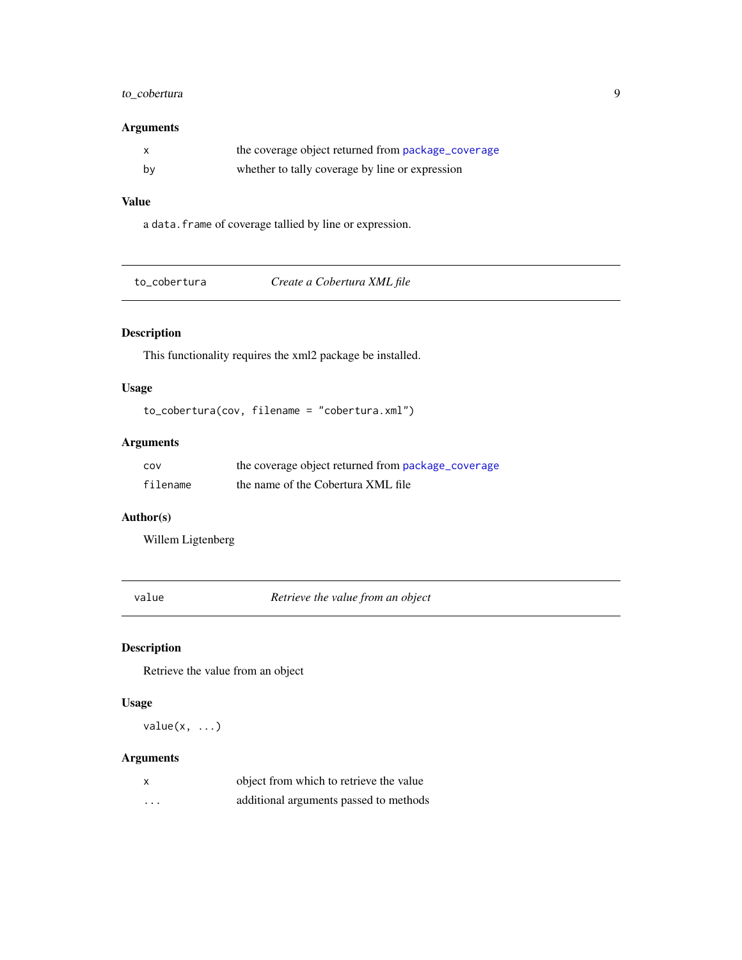# <span id="page-8-0"></span>to\_cobertura 9

# Arguments

|    | the coverage object returned from package_coverage |
|----|----------------------------------------------------|
| bv | whether to tally coverage by line or expression    |

# Value

a data.frame of coverage tallied by line or expression.

| to cobertura | Create a Cobertura XML file |  |
|--------------|-----------------------------|--|
|--------------|-----------------------------|--|

# Description

This functionality requires the xml2 package be installed.

# Usage

```
to_cobertura(cov, filename = "cobertura.xml")
```
# Arguments

| cov      | the coverage object returned from package_coverage |
|----------|----------------------------------------------------|
| filename | the name of the Cobertura XML file                 |

# Author(s)

Willem Ligtenberg

value *Retrieve the value from an object*

# Description

Retrieve the value from an object

#### Usage

 $value(x, \ldots)$ 

# Arguments

| X        | object from which to retrieve the value |
|----------|-----------------------------------------|
| $\cdots$ | additional arguments passed to methods  |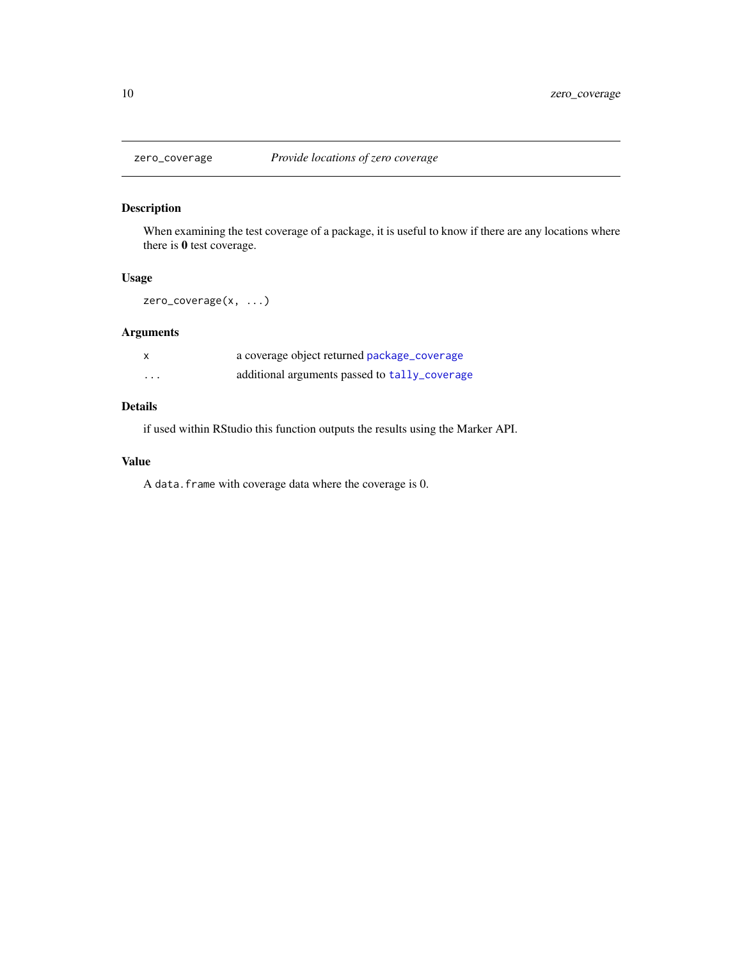<span id="page-9-0"></span>

# Description

When examining the test coverage of a package, it is useful to know if there are any locations where there is 0 test coverage.

#### Usage

zero\_coverage(x, ...)

# Arguments

|         | a coverage object returned package_coverage   |
|---------|-----------------------------------------------|
| $\cdot$ | additional arguments passed to tally_coverage |

# Details

if used within RStudio this function outputs the results using the Marker API.

#### Value

A data.frame with coverage data where the coverage is 0.